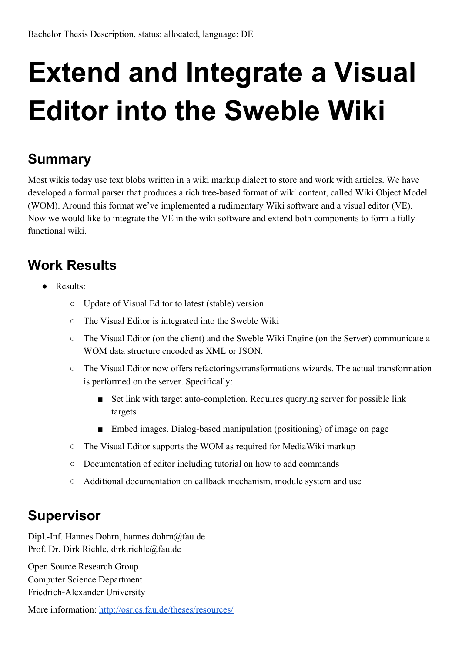## **Extend and Integrate a Visual Editor into the Sweble Wiki**

## **Summary**

Most wikis today use text blobs written in a wiki markup dialect to store and work with articles. We have developed a formal parser that produces a rich tree-based format of wiki content, called Wiki Object Model (WOM). Around this format we've implemented a rudimentary Wiki software and a visual editor (VE). Now we would like to integrate the VE in the wiki software and extend both components to form a fully functional wiki.

## **Work Results**

- Results:
	- Update of Visual Editor to latest (stable) version
	- The Visual Editor is integrated into the Sweble Wiki
	- The Visual Editor (on the client) and the Sweble Wiki Engine (on the Server) communicate a WOM data structure encoded as XML or JSON.
	- The Visual Editor now offers refactorings/transformations wizards. The actual transformation is performed on the server. Specifically:
		- Set link with target auto-completion. Requires querying server for possible link targets
		- Embed images. Dialog-based manipulation (positioning) of image on page
	- The Visual Editor supports the WOM as required for MediaWiki markup
	- Documentation of editor including tutorial on how to add commands
	- Additional documentation on callback mechanism, module system and use

## **Supervisor**

Dipl.-Inf. Hannes Dohrn, hannes.dohrn@fau.de Prof. Dr. Dirk Riehle, dirk.riehle@fau.de

Open Source Research Group Computer Science Department Friedrich-Alexander University

More information: <http://osr.cs.fau.de/theses/resources/>